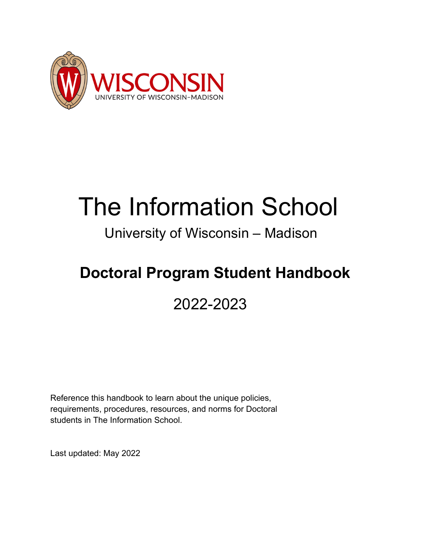

# The Information School<br>University of Wisconsin – Madison

## **Doctoral Program Student Handbook**

## 2022-2023

Reference this handbook to learn about the unique policies, requirements, procedures, resources, and norms for Doctoral students in The Information School.

Last updated: May 2022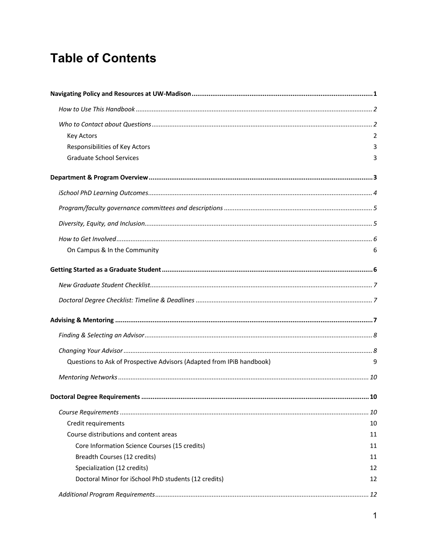## **Table of Contents**

| <b>Key Actors</b>                                                     | $\mathcal{P}$ |
|-----------------------------------------------------------------------|---------------|
| Responsibilities of Key Actors                                        | 3             |
| <b>Graduate School Services</b>                                       | 3             |
|                                                                       |               |
|                                                                       |               |
|                                                                       |               |
|                                                                       |               |
|                                                                       |               |
| On Campus & In the Community                                          | 6             |
|                                                                       |               |
|                                                                       |               |
|                                                                       |               |
|                                                                       |               |
|                                                                       |               |
|                                                                       |               |
| Questions to Ask of Prospective Advisors (Adapted from IPiB handbook) | 9             |
|                                                                       |               |
|                                                                       |               |
|                                                                       | . 10          |
| Credit requirements                                                   | 10            |
| Course distributions and content areas                                | 11            |
| Core Information Science Courses (15 credits)                         | 11            |
| Breadth Courses (12 credits)                                          | 11            |
| Specialization (12 credits)                                           | 12            |
| Doctoral Minor for iSchool PhD students (12 credits)                  | 12            |
|                                                                       |               |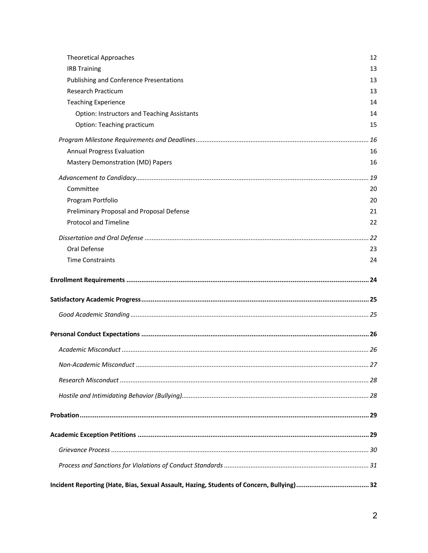| Incident Reporting (Hate, Bias, Sexual Assault, Hazing, Students of Concern, Bullying) 32 |            |
|-------------------------------------------------------------------------------------------|------------|
|                                                                                           |            |
|                                                                                           |            |
|                                                                                           |            |
|                                                                                           |            |
|                                                                                           |            |
|                                                                                           |            |
|                                                                                           |            |
|                                                                                           |            |
|                                                                                           |            |
|                                                                                           |            |
|                                                                                           |            |
|                                                                                           |            |
| <b>Time Constraints</b>                                                                   | 24         |
| Oral Defense                                                                              | 23         |
|                                                                                           |            |
| <b>Protocol and Timeline</b>                                                              | 22         |
| Preliminary Proposal and Proposal Defense                                                 | 21         |
| Program Portfolio                                                                         | 20         |
| Committee                                                                                 | . 19<br>20 |
|                                                                                           |            |
| Annual Progress Evaluation<br>Mastery Demonstration (MD) Papers                           | 16<br>16   |
|                                                                                           | .16        |
| Option: Teaching practicum                                                                | 15         |
| <b>Option: Instructors and Teaching Assistants</b>                                        | 14         |
| <b>Teaching Experience</b>                                                                | 14         |
| <b>Research Practicum</b>                                                                 | 13         |
| <b>Publishing and Conference Presentations</b>                                            | 13         |
| <b>IRB Training</b>                                                                       | 13         |
| <b>Theoretical Approaches</b>                                                             | 12         |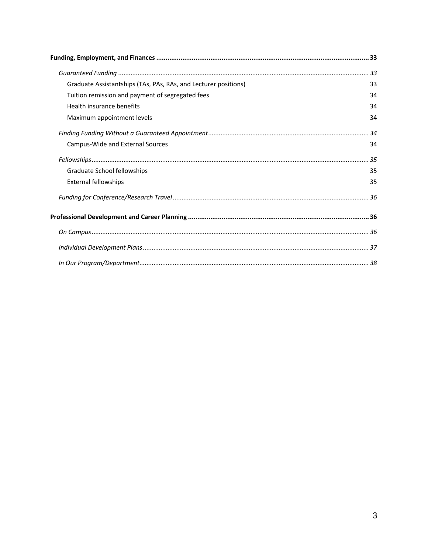| Graduate Assistantships (TAs, PAs, RAs, and Lecturer positions) | 33 |
|-----------------------------------------------------------------|----|
| Tuition remission and payment of segregated fees                | 34 |
| Health insurance benefits                                       | 34 |
| Maximum appointment levels                                      | 34 |
|                                                                 |    |
| Campus-Wide and External Sources                                | 34 |
|                                                                 |    |
| Graduate School fellowships                                     | 35 |
| <b>External fellowships</b>                                     | 35 |
|                                                                 |    |
|                                                                 |    |
|                                                                 |    |
|                                                                 |    |
|                                                                 |    |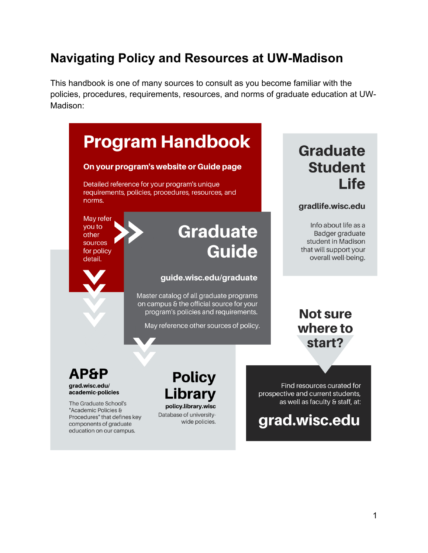## **Navigating Policy and Resources at UW-Madison**

This handbook is one of many sources to consult as you become familiar with the policies, procedures, requirements, resources, and norms of graduate education at UW-Madison:

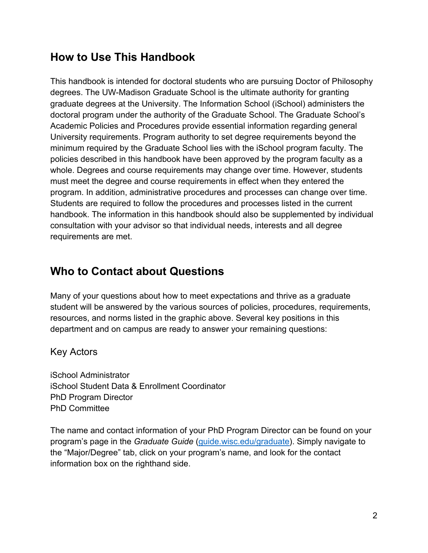## **How to Use This Handbook**

This handbook is intended for doctoral students who are pursuing Doctor of Philosophy degrees. The UW-Madison Graduate School is the ultimate authority for granting graduate degrees at the University. The Information School (iSchool) administers the doctoral program under the authority of the Graduate School. The Graduate School's Academic Policies and Procedures provide essential information regarding general University requirements. Program authority to set degree requirements beyond the minimum required by the Graduate School lies with the iSchool program faculty. The policies described in this handbook have been approved by the program faculty as a whole. Degrees and course requirements may change over time. However, students must meet the degree and course requirements in effect when they entered the program. In addition, administrative procedures and processes can change over time. Students are required to follow the procedures and processes listed in the current handbook. The information in this handbook should also be supplemented by individual consultation with your advisor so that individual needs, interests and all degree requirements are met.

## **Who to Contact about Questions**

Many of your questions about how to meet expectations and thrive as a graduate student will be answered by the various sources of policies, procedures, requirements, resources, and norms listed in the graphic above. Several key positions in this department and on campus are ready to answer your remaining questions:

Key Actors

iSchool Administrator iSchool Student Data & Enrollment Coordinator PhD Program Director PhD Committee

The name and contact information of your PhD Program Director can be found on your program's page in the *Graduate Guide* (guide.wisc.edu/graduate). Simply navigate to the "Major/Degree" tab, click on your program's name, and look for the contact information box on the righthand side.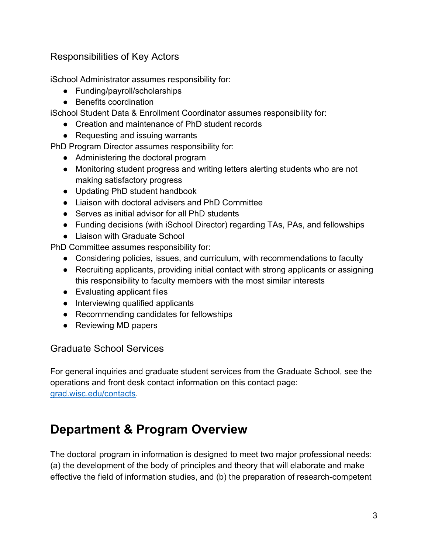#### Responsibilities of Key Actors

iSchool Administrator assumes responsibility for:

- Funding/payroll/scholarships
- Benefits coordination

iSchool Student Data & Enrollment Coordinator assumes responsibility for:

- Creation and maintenance of PhD student records
- Requesting and issuing warrants

PhD Program Director assumes responsibility for:

- Administering the doctoral program
- Monitoring student progress and writing letters alerting students who are not making satisfactory progress
- Updating PhD student handbook
- Liaison with doctoral advisers and PhD Committee
- Serves as initial advisor for all PhD students
- Funding decisions (with iSchool Director) regarding TAs, PAs, and fellowships
- Liaison with Graduate School

PhD Committee assumes responsibility for:

- Considering policies, issues, and curriculum, with recommendations to faculty
- Recruiting applicants, providing initial contact with strong applicants or assigning this responsibility to faculty members with the most similar interests
- Evaluating applicant files
- Interviewing qualified applicants
- Recommending candidates for fellowships
- Reviewing MD papers

#### Graduate School Services

For general inquiries and graduate student services from the Graduate School, see the operations and front desk contact information on this contact page: grad.wisc.edu/contacts.

## **Department & Program Overview**

The doctoral program in information is designed to meet two major professional needs: (a) the development of the body of principles and theory that will elaborate and make effective the field of information studies, and (b) the preparation of research-competent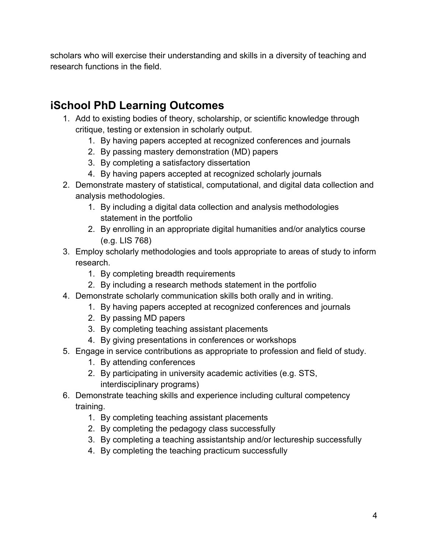scholars who will exercise their understanding and skills in a diversity of teaching and research functions in the field.

## **iSchool PhD Learning Outcomes**

- 1. Add to existing bodies of theory, scholarship, or scientific knowledge through critique, testing or extension in scholarly output.
	- 1. By having papers accepted at recognized conferences and journals
	- 2. By passing mastery demonstration (MD) papers
	- 3. By completing a satisfactory dissertation
	- 4. By having papers accepted at recognized scholarly journals
- 2. Demonstrate mastery of statistical, computational, and digital data collection and analysis methodologies.
	- 1. By including a digital data collection and analysis methodologies statement in the portfolio
	- 2. By enrolling in an appropriate digital humanities and/or analytics course (e.g. LIS 768)
- 3. Employ scholarly methodologies and tools appropriate to areas of study to inform research.
	- 1. By completing breadth requirements
	- 2. By including a research methods statement in the portfolio
- 4. Demonstrate scholarly communication skills both orally and in writing.
	- 1. By having papers accepted at recognized conferences and journals
	- 2. By passing MD papers
	- 3. By completing teaching assistant placements
	- 4. By giving presentations in conferences or workshops
- 5. Engage in service contributions as appropriate to profession and field of study.
	- 1. By attending conferences
	- 2. By participating in university academic activities (e.g. STS, interdisciplinary programs)
- 6. Demonstrate teaching skills and experience including cultural competency training.
	- 1. By completing teaching assistant placements
	- 2. By completing the pedagogy class successfully
	- 3. By completing a teaching assistantship and/or lectureship successfully
	- 4. By completing the teaching practicum successfully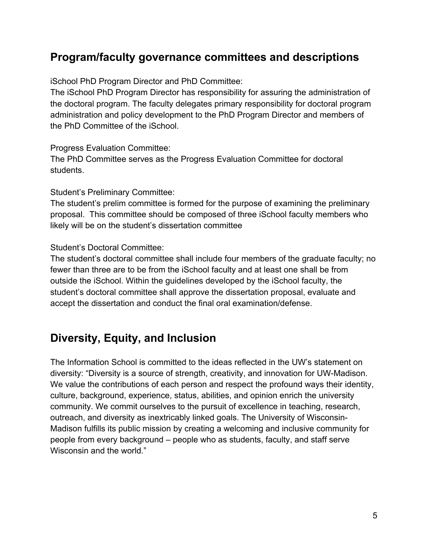## **Program/faculty governance committees and descriptions**

iSchool PhD Program Director and PhD Committee:

The iSchool PhD Program Director has responsibility for assuring the administration of the doctoral program. The faculty delegates primary responsibility for doctoral program administration and policy development to the PhD Program Director and members of the PhD Committee of the iSchool.

Progress Evaluation Committee:

The PhD Committee serves as the Progress Evaluation Committee for doctoral students.

Student's Preliminary Committee:

The student's prelim committee is formed for the purpose of examining the preliminary proposal. This committee should be composed of three iSchool faculty members who likely will be on the student's dissertation committee

Student's Doctoral Committee:

The student's doctoral committee shall include four members of the graduate faculty; no fewer than three are to be from the iSchool faculty and at least one shall be from outside the iSchool. Within the guidelines developed by the iSchool faculty, the student's doctoral committee shall approve the dissertation proposal, evaluate and accept the dissertation and conduct the final oral examination/defense.

### **Diversity, Equity, and Inclusion**

The Information School is committed to the ideas reflected in the UW's statement on diversity: "Diversity is a source of strength, creativity, and innovation for UW-Madison. We value the contributions of each person and respect the profound ways their identity, culture, background, experience, status, abilities, and opinion enrich the university community. We commit ourselves to the pursuit of excellence in teaching, research, outreach, and diversity as inextricably linked goals. The University of Wisconsin-Madison fulfills its public mission by creating a welcoming and inclusive community for people from every background – people who as students, faculty, and staff serve Wisconsin and the world."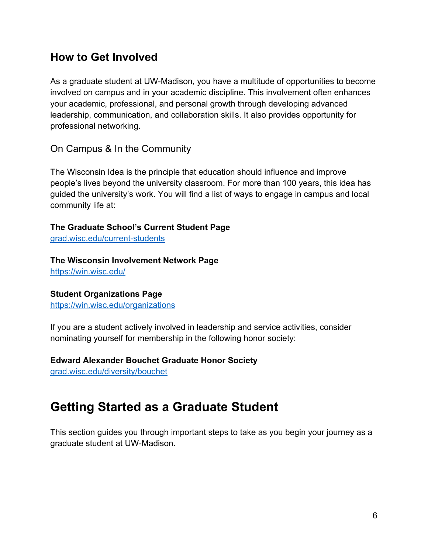## **How to Get Involved**

As a graduate student at UW-Madison, you have a multitude of opportunities to become involved on campus and in your academic discipline. This involvement often enhances your academic, professional, and personal growth through developing advanced leadership, communication, and collaboration skills. It also provides opportunity for professional networking.

#### On Campus & In the Community

The Wisconsin Idea is the principle that education should influence and improve people's lives beyond the university classroom. For more than 100 years, this idea has guided the university's work. You will find a list of ways to engage in campus and local community life at:

**The Graduate School's Current Student Page**

grad.wisc.edu/current-students

**The Wisconsin Involvement Network Page**

https://win.wisc.edu/

#### **Student Organizations Page**

https://win.wisc.edu/organizations

If you are a student actively involved in leadership and service activities, consider nominating yourself for membership in the following honor society:

#### **Edward Alexander Bouchet Graduate Honor Society**

grad.wisc.edu/diversity/bouchet

## **Getting Started as a Graduate Student**

This section guides you through important steps to take as you begin your journey as a graduate student at UW-Madison.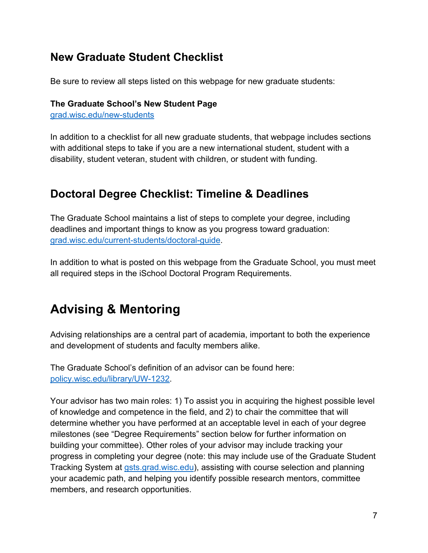## **New Graduate Student Checklist**

Be sure to review all steps listed on this webpage for new graduate students:

#### **The Graduate School's New Student Page**

grad.wisc.edu/new-students

In addition to a checklist for all new graduate students, that webpage includes sections with additional steps to take if you are a new international student, student with a disability, student veteran, student with children, or student with funding.

## **Doctoral Degree Checklist: Timeline & Deadlines**

The Graduate School maintains a list of steps to complete your degree, including deadlines and important things to know as you progress toward graduation: grad.wisc.edu/current-students/doctoral-guide.

In addition to what is posted on this webpage from the Graduate School, you must meet all required steps in the iSchool Doctoral Program Requirements.

## **Advising & Mentoring**

Advising relationships are a central part of academia, important to both the experience and development of students and faculty members alike.

The Graduate School's definition of an advisor can be found here: policy.wisc.edu/library/UW-1232.

Your advisor has two main roles: 1) To assist you in acquiring the highest possible level of knowledge and competence in the field, and 2) to chair the committee that will determine whether you have performed at an acceptable level in each of your degree milestones (see "Degree Requirements" section below for further information on building your committee). Other roles of your advisor may include tracking your progress in completing your degree (note: this may include use of the Graduate Student Tracking System at gsts.grad.wisc.edu), assisting with course selection and planning your academic path, and helping you identify possible research mentors, committee members, and research opportunities.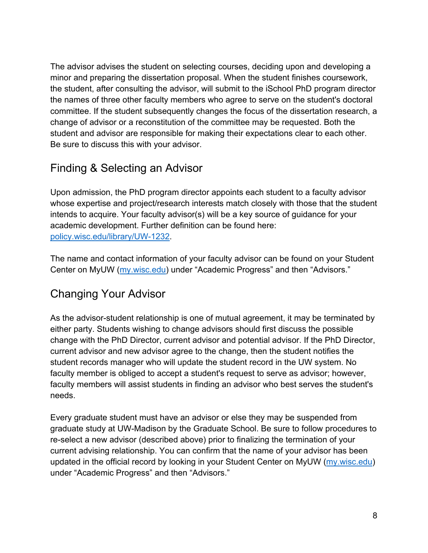The advisor advises the student on selecting courses, deciding upon and developing a minor and preparing the dissertation proposal. When the student finishes coursework, the student, after consulting the advisor, will submit to the iSchool PhD program director the names of three other faculty members who agree to serve on the student's doctoral committee. If the student subsequently changes the focus of the dissertation research, a change of advisor or a reconstitution of the committee may be requested. Both the student and advisor are responsible for making their expectations clear to each other. Be sure to discuss this with your advisor.

## Finding & Selecting an Advisor

Upon admission, the PhD program director appoints each student to a faculty advisor whose expertise and project/research interests match closely with those that the student intends to acquire. Your faculty advisor(s) will be a key source of guidance for your academic development. Further definition can be found here: policy.wisc.edu/library/UW-1232.

The name and contact information of your faculty advisor can be found on your Student Center on MyUW (my.wisc.edu) under "Academic Progress" and then "Advisors."

## Changing Your Advisor

As the advisor-student relationship is one of mutual agreement, it may be terminated by either party. Students wishing to change advisors should first discuss the possible change with the PhD Director, current advisor and potential advisor. If the PhD Director, current advisor and new advisor agree to the change, then the student notifies the student records manager who will update the student record in the UW system. No faculty member is obliged to accept a student's request to serve as advisor; however, faculty members will assist students in finding an advisor who best serves the student's needs.

Every graduate student must have an advisor or else they may be suspended from graduate study at UW-Madison by the Graduate School. Be sure to follow procedures to re-select a new advisor (described above) prior to finalizing the termination of your current advising relationship. You can confirm that the name of your advisor has been updated in the official record by looking in your Student Center on MyUW (my.wisc.edu) under "Academic Progress" and then "Advisors."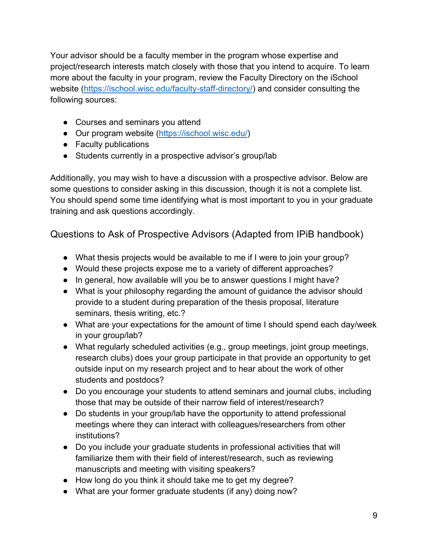Your advisor should be a faculty member in the program whose expertise and project/research interests match closely with those that you intend to acquire. To learn more about the faculty in your program, review the Faculty Directory on the iSchool website (https://ischool.wisc.edu/faculty-staff-directory/) and consider consulting the following sources:

- Courses and seminars you attend
- Our program website (https://ischool.wisc.edu/)
- Faculty publications
- Students currently in a prospective advisor's group/lab

Additionally, you may wish to have a discussion with a prospective advisor. Below are some questions to consider asking in this discussion, though it is not a complete list. You should spend some time identifying what is most important to you in your graduate training and ask questions accordingly.

Questions to Ask of Prospective Advisors (Adapted from IPiB handbook)

- What thesis projects would be available to me if I were to join your group?
- Would these projects expose me to a variety of different approaches?
- In general, how available will you be to answer questions I might have?
- What is your philosophy regarding the amount of guidance the advisor should provide to a student during preparation of the thesis proposal, literature seminars, thesis writing, etc.?
- What are your expectations for the amount of time I should spend each day/week in your group/lab?
- What regularly scheduled activities (e.g., group meetings, joint group meetings, research clubs) does your group participate in that provide an opportunity to get outside input on my research project and to hear about the work of other students and postdocs?
- Do you encourage your students to attend seminars and journal clubs, including those that may be outside of their narrow field of interest/research?
- Do students in your group/lab have the opportunity to attend professional meetings where they can interact with colleagues/researchers from other institutions?
- Do you include your graduate students in professional activities that will familiarize them with their field of interest/research, such as reviewing manuscripts and meeting with visiting speakers?
- How long do you think it should take me to get my degree?
- What are your former graduate students (if any) doing now?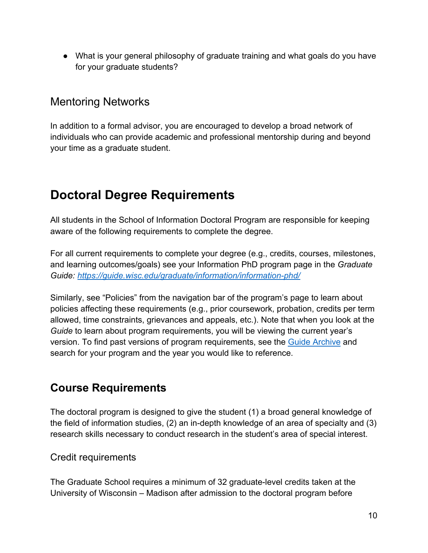● What is your general philosophy of graduate training and what goals do you have for your graduate students?

## Mentoring Networks

In addition to a formal advisor, you are encouraged to develop a broad network of individuals who can provide academic and professional mentorship during and beyond your time as a graduate student.

## **Doctoral Degree Requirements**

All students in the School of Information Doctoral Program are responsible for keeping aware of the following requirements to complete the degree.

For all current requirements to complete your degree (e.g., credits, courses, milestones, and learning outcomes/goals) see your Information PhD program page in the *Graduate Guide: https://guide.wisc.edu/graduate/information/information-phd/*

Similarly, see "Policies" from the navigation bar of the program's page to learn about policies affecting these requirements (e.g., prior coursework, probation, credits per term allowed, time constraints, grievances and appeals, etc.). Note that when you look at the *Guide* to learn about program requirements, you will be viewing the current year's version. To find past versions of program requirements, see the Guide Archive and search for your program and the year you would like to reference.

## **Course Requirements**

The doctoral program is designed to give the student (1) a broad general knowledge of the field of information studies, (2) an in-depth knowledge of an area of specialty and (3) research skills necessary to conduct research in the student's area of special interest.

#### Credit requirements

The Graduate School requires a minimum of 32 graduate-level credits taken at the University of Wisconsin – Madison after admission to the doctoral program before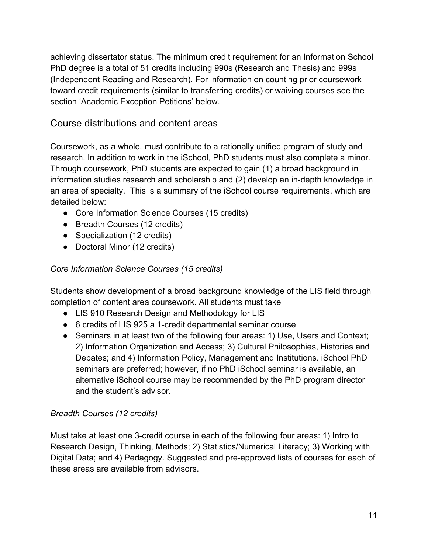achieving dissertator status. The minimum credit requirement for an Information School PhD degree is a total of 51 credits including 990s (Research and Thesis) and 999s (Independent Reading and Research). For information on counting prior coursework toward credit requirements (similar to transferring credits) or waiving courses see the section 'Academic Exception Petitions' below.

#### Course distributions and content areas

Coursework, as a whole, must contribute to a rationally unified program of study and research. In addition to work in the iSchool, PhD students must also complete a minor. Through coursework, PhD students are expected to gain (1) a broad background in information studies research and scholarship and (2) develop an in-depth knowledge in an area of specialty. This is a summary of the iSchool course requirements, which are detailed below:

- Core Information Science Courses (15 credits)
- Breadth Courses (12 credits)
- Specialization (12 credits)
- Doctoral Minor (12 credits)

#### *Core Information Science Courses (15 credits)*

Students show development of a broad background knowledge of the LIS field through completion of content area coursework. All students must take

- LIS 910 Research Design and Methodology for LIS
- 6 credits of LIS 925 a 1-credit departmental seminar course
- Seminars in at least two of the following four areas: 1) Use, Users and Context; 2) Information Organization and Access; 3) Cultural Philosophies, Histories and Debates; and 4) Information Policy, Management and Institutions. iSchool PhD seminars are preferred; however, if no PhD iSchool seminar is available, an alternative iSchool course may be recommended by the PhD program director and the student's advisor.

#### *Breadth Courses (12 credits)*

Must take at least one 3-credit course in each of the following four areas: 1) Intro to Research Design, Thinking, Methods; 2) Statistics/Numerical Literacy; 3) Working with Digital Data; and 4) Pedagogy. Suggested and pre-approved lists of courses for each of these areas are available from advisors.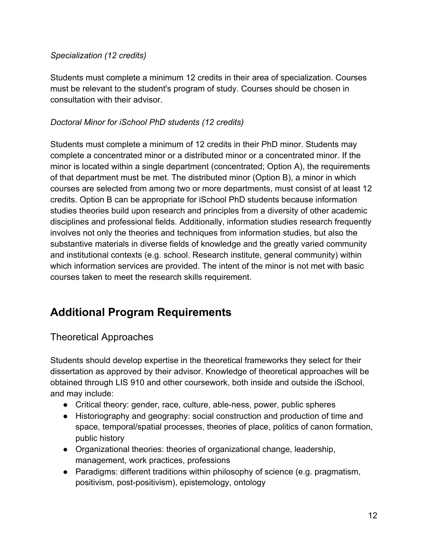#### *Specialization (12 credits)*

Students must complete a minimum 12 credits in their area of specialization. Courses must be relevant to the student's program of study. Courses should be chosen in consultation with their advisor.

#### *Doctoral Minor for iSchool PhD students (12 credits)*

Students must complete a minimum of 12 credits in their PhD minor. Students may complete a concentrated minor or a distributed minor or a concentrated minor. If the minor is located within a single department (concentrated; Option A), the requirements of that department must be met. The distributed minor (Option B), a minor in which courses are selected from among two or more departments, must consist of at least 12 credits. Option B can be appropriate for iSchool PhD students because information studies theories build upon research and principles from a diversity of other academic disciplines and professional fields. Additionally, information studies research frequently involves not only the theories and techniques from information studies, but also the substantive materials in diverse fields of knowledge and the greatly varied community and institutional contexts (e.g. school. Research institute, general community) within which information services are provided. The intent of the minor is not met with basic courses taken to meet the research skills requirement.

## **Additional Program Requirements**

#### Theoretical Approaches

Students should develop expertise in the theoretical frameworks they select for their dissertation as approved by their advisor. Knowledge of theoretical approaches will be obtained through LIS 910 and other coursework, both inside and outside the iSchool, and may include:

- Critical theory: gender, race, culture, able-ness, power, public spheres
- Historiography and geography: social construction and production of time and space, temporal/spatial processes, theories of place, politics of canon formation, public history
- Organizational theories: theories of organizational change, leadership, management, work practices, professions
- Paradigms: different traditions within philosophy of science (e.g. pragmatism, positivism, post-positivism), epistemology, ontology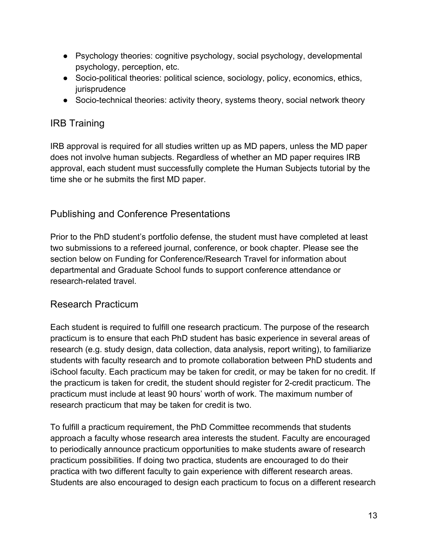- Psychology theories: cognitive psychology, social psychology, developmental psychology, perception, etc.
- Socio-political theories: political science, sociology, policy, economics, ethics, jurisprudence
- Socio-technical theories: activity theory, systems theory, social network theory

#### IRB Training

IRB approval is required for all studies written up as MD papers, unless the MD paper does not involve human subjects. Regardless of whether an MD paper requires IRB approval, each student must successfully complete the Human Subjects tutorial by the time she or he submits the first MD paper.

#### Publishing and Conference Presentations

Prior to the PhD student's portfolio defense, the student must have completed at least two submissions to a refereed journal, conference, or book chapter. Please see the section below on Funding for Conference/Research Travel for information about departmental and Graduate School funds to support conference attendance or research-related travel.

#### Research Practicum

Each student is required to fulfill one research practicum. The purpose of the research practicum is to ensure that each PhD student has basic experience in several areas of research (e.g. study design, data collection, data analysis, report writing), to familiarize students with faculty research and to promote collaboration between PhD students and iSchool faculty. Each practicum may be taken for credit, or may be taken for no credit. If the practicum is taken for credit, the student should register for 2-credit practicum. The practicum must include at least 90 hours' worth of work. The maximum number of research practicum that may be taken for credit is two.

To fulfill a practicum requirement, the PhD Committee recommends that students approach a faculty whose research area interests the student. Faculty are encouraged to periodically announce practicum opportunities to make students aware of research practicum possibilities. If doing two practica, students are encouraged to do their practica with two different faculty to gain experience with different research areas. Students are also encouraged to design each practicum to focus on a different research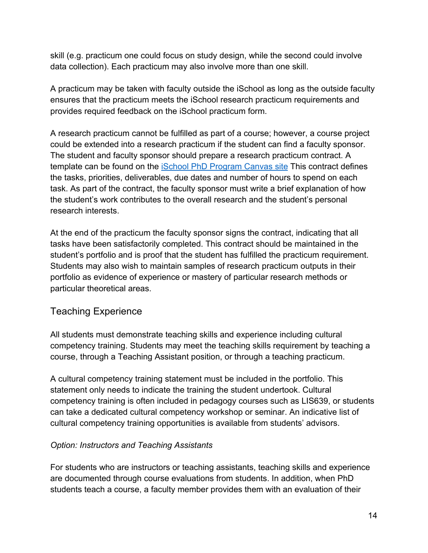skill (e.g. practicum one could focus on study design, while the second could involve data collection). Each practicum may also involve more than one skill.

A practicum may be taken with faculty outside the iSchool as long as the outside faculty ensures that the practicum meets the iSchool research practicum requirements and provides required feedback on the iSchool practicum form.

A research practicum cannot be fulfilled as part of a course; however, a course project could be extended into a research practicum if the student can find a faculty sponsor. The student and faculty sponsor should prepare a research practicum contract. A template can be found on the iSchool PhD Program Canvas site This contract defines the tasks, priorities, deliverables, due dates and number of hours to spend on each task. As part of the contract, the faculty sponsor must write a brief explanation of how the student's work contributes to the overall research and the student's personal research interests.

At the end of the practicum the faculty sponsor signs the contract, indicating that all tasks have been satisfactorily completed. This contract should be maintained in the student's portfolio and is proof that the student has fulfilled the practicum requirement. Students may also wish to maintain samples of research practicum outputs in their portfolio as evidence of experience or mastery of particular research methods or particular theoretical areas.

#### Teaching Experience

All students must demonstrate teaching skills and experience including cultural competency training. Students may meet the teaching skills requirement by teaching a course, through a Teaching Assistant position, or through a teaching practicum.

A cultural competency training statement must be included in the portfolio. This statement only needs to indicate the training the student undertook. Cultural competency training is often included in pedagogy courses such as LIS639, or students can take a dedicated cultural competency workshop or seminar. An indicative list of cultural competency training opportunities is available from students' advisors.

#### *Option: Instructors and Teaching Assistants*

For students who are instructors or teaching assistants, teaching skills and experience are documented through course evaluations from students. In addition, when PhD students teach a course, a faculty member provides them with an evaluation of their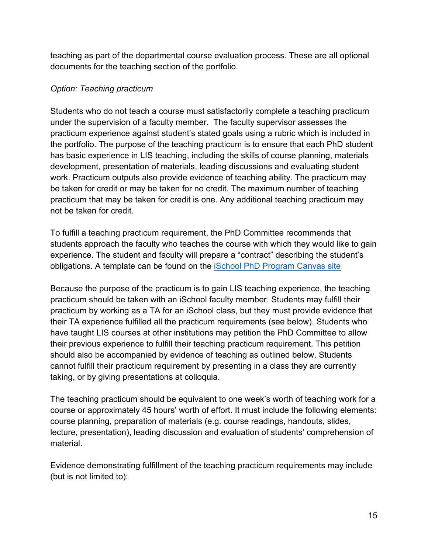teaching as part of the departmental course evaluation process. These are all optional documents for the teaching section of the portfolio.

#### *Option: Teaching practicum*

Students who do not teach a course must satisfactorily complete a teaching practicum under the supervision of a faculty member. The faculty supervisor assesses the practicum experience against student's stated goals using a rubric which is included in the portfolio. The purpose of the teaching practicum is to ensure that each PhD student has basic experience in LIS teaching, including the skills of course planning, materials development, presentation of materials, leading discussions and evaluating student work. Practicum outputs also provide evidence of teaching ability. The practicum may be taken for credit or may be taken for no credit. The maximum number of teaching practicum that may be taken for credit is one. Any additional teaching practicum may not be taken for credit.

To fulfill a teaching practicum requirement, the PhD Committee recommends that students approach the faculty who teaches the course with which they would like to gain experience. The student and faculty will prepare a "contract" describing the student's obligations. A template can be found on the iSchool PhD Program Canvas site

Because the purpose of the practicum is to gain LIS teaching experience, the teaching practicum should be taken with an iSchool faculty member. Students may fulfill their practicum by working as a TA for an iSchool class, but they must provide evidence that their TA experience fulfilled all the practicum requirements (see below). Students who have taught LIS courses at other institutions may petition the PhD Committee to allow their previous experience to fulfill their teaching practicum requirement. This petition should also be accompanied by evidence of teaching as outlined below. Students cannot fulfill their practicum requirement by presenting in a class they are currently taking, or by giving presentations at colloquia.

The teaching practicum should be equivalent to one week's worth of teaching work for a course or approximately 45 hours' worth of effort. It must include the following elements: course planning, preparation of materials (e.g. course readings, handouts, slides, lecture, presentation), leading discussion and evaluation of students' comprehension of material.

Evidence demonstrating fulfillment of the teaching practicum requirements may include (but is not limited to):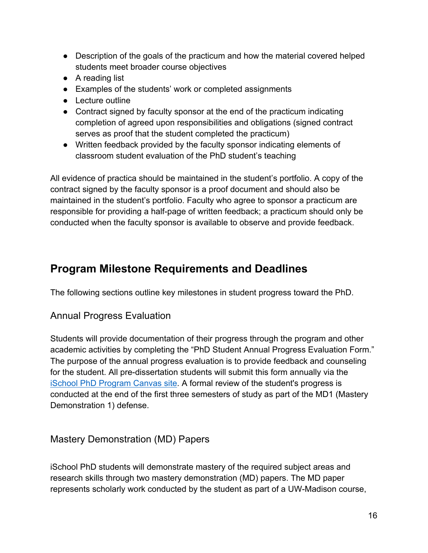- Description of the goals of the practicum and how the material covered helped students meet broader course objectives
- A reading list
- Examples of the students' work or completed assignments
- Lecture outline
- Contract signed by faculty sponsor at the end of the practicum indicating completion of agreed upon responsibilities and obligations (signed contract serves as proof that the student completed the practicum)
- Written feedback provided by the faculty sponsor indicating elements of classroom student evaluation of the PhD student's teaching

All evidence of practica should be maintained in the student's portfolio. A copy of the contract signed by the faculty sponsor is a proof document and should also be maintained in the student's portfolio. Faculty who agree to sponsor a practicum are responsible for providing a half-page of written feedback; a practicum should only be conducted when the faculty sponsor is available to observe and provide feedback.

## **Program Milestone Requirements and Deadlines**

The following sections outline key milestones in student progress toward the PhD.

#### Annual Progress Evaluation

Students will provide documentation of their progress through the program and other academic activities by completing the "PhD Student Annual Progress Evaluation Form." The purpose of the annual progress evaluation is to provide feedback and counseling for the student. All pre-dissertation students will submit this form annually via the iSchool PhD Program Canvas site. A formal review of the student's progress is conducted at the end of the first three semesters of study as part of the MD1 (Mastery Demonstration 1) defense.

#### Mastery Demonstration (MD) Papers

iSchool PhD students will demonstrate mastery of the required subject areas and research skills through two mastery demonstration (MD) papers. The MD paper represents scholarly work conducted by the student as part of a UW-Madison course,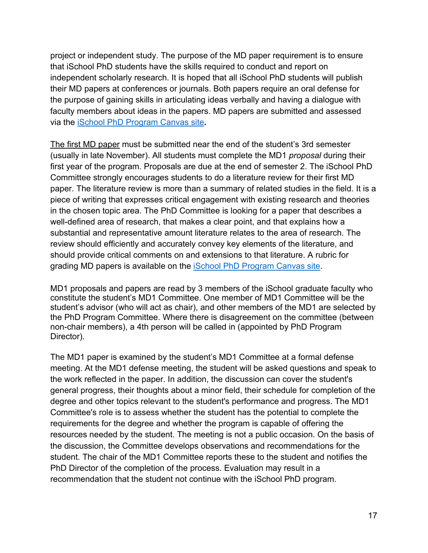project or independent study. The purpose of the MD paper requirement is to ensure that iSchool PhD students have the skills required to conduct and report on independent scholarly research. It is hoped that all iSchool PhD students will publish their MD papers at conferences or journals. Both papers require an oral defense for the purpose of gaining skills in articulating ideas verbally and having a dialogue with faculty members about ideas in the papers. MD papers are submitted and assessed via the iSchool PhD Program Canvas site**.**

The first MD paper must be submitted near the end of the student's 3rd semester (usually in late November). All students must complete the MD1 *proposal* during their first year of the program. Proposals are due at the end of semester 2. The iSchool PhD Committee strongly encourages students to do a literature review for their first MD paper. The literature review is more than a summary of related studies in the field. It is a piece of writing that expresses critical engagement with existing research and theories in the chosen topic area. The PhD Committee is looking for a paper that describes a well-defined area of research, that makes a clear point, and that explains how a substantial and representative amount literature relates to the area of research. The review should efficiently and accurately convey key elements of the literature, and should provide critical comments on and extensions to that literature. A rubric for grading MD papers is available on the iSchool PhD Program Canvas site.

MD1 proposals and papers are read by 3 members of the iSchool graduate faculty who constitute the student's MD1 Committee. One member of MD1 Committee will be the student's advisor (who will act as chair), and other members of the MD1 are selected by the PhD Program Committee. Where there is disagreement on the committee (between non-chair members), a 4th person will be called in (appointed by PhD Program Director).

The MD1 paper is examined by the student's MD1 Committee at a formal defense meeting. At the MD1 defense meeting, the student will be asked questions and speak to the work reflected in the paper. In addition, the discussion can cover the student's general progress, their thoughts about a minor field, their schedule for completion of the degree and other topics relevant to the student's performance and progress. The MD1 Committee's role is to assess whether the student has the potential to complete the requirements for the degree and whether the program is capable of offering the resources needed by the student. The meeting is not a public occasion. On the basis of the discussion, the Committee develops observations and recommendations for the student. The chair of the MD1 Committee reports these to the student and notifies the PhD Director of the completion of the process. Evaluation may result in a recommendation that the student not continue with the iSchool PhD program.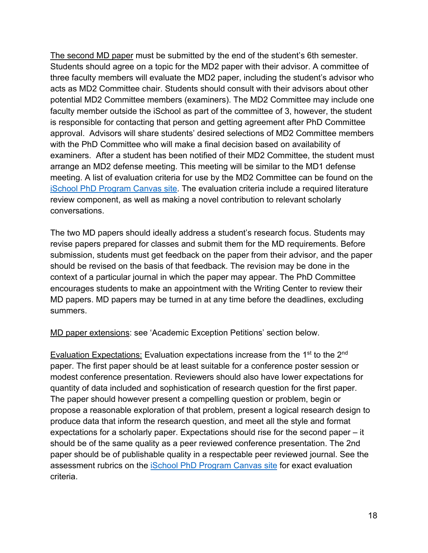The second MD paper must be submitted by the end of the student's 6th semester. Students should agree on a topic for the MD2 paper with their advisor. A committee of three faculty members will evaluate the MD2 paper, including the student's advisor who acts as MD2 Committee chair. Students should consult with their advisors about other potential MD2 Committee members (examiners). The MD2 Committee may include one faculty member outside the iSchool as part of the committee of 3, however, the student is responsible for contacting that person and getting agreement after PhD Committee approval. Advisors will share students' desired selections of MD2 Committee members with the PhD Committee who will make a final decision based on availability of examiners. After a student has been notified of their MD2 Committee, the student must arrange an MD2 defense meeting. This meeting will be similar to the MD1 defense meeting. A list of evaluation criteria for use by the MD2 Committee can be found on the iSchool PhD Program Canvas site. The evaluation criteria include a required literature review component, as well as making a novel contribution to relevant scholarly conversations.

The two MD papers should ideally address a student's research focus. Students may revise papers prepared for classes and submit them for the MD requirements. Before submission, students must get feedback on the paper from their advisor, and the paper should be revised on the basis of that feedback. The revision may be done in the context of a particular journal in which the paper may appear. The PhD Committee encourages students to make an appointment with the Writing Center to review their MD papers. MD papers may be turned in at any time before the deadlines, excluding summers.

MD paper extensions: see 'Academic Exception Petitions' section below.

Evaluation Expectations: Evaluation expectations increase from the 1<sup>st</sup> to the 2<sup>nd</sup> paper. The first paper should be at least suitable for a conference poster session or modest conference presentation. Reviewers should also have lower expectations for quantity of data included and sophistication of research question for the first paper. The paper should however present a compelling question or problem, begin or propose a reasonable exploration of that problem, present a logical research design to produce data that inform the research question, and meet all the style and format expectations for a scholarly paper. Expectations should rise for the second paper – it should be of the same quality as a peer reviewed conference presentation. The 2nd paper should be of publishable quality in a respectable peer reviewed journal. See the assessment rubrics on the iSchool PhD Program Canvas site for exact evaluation criteria.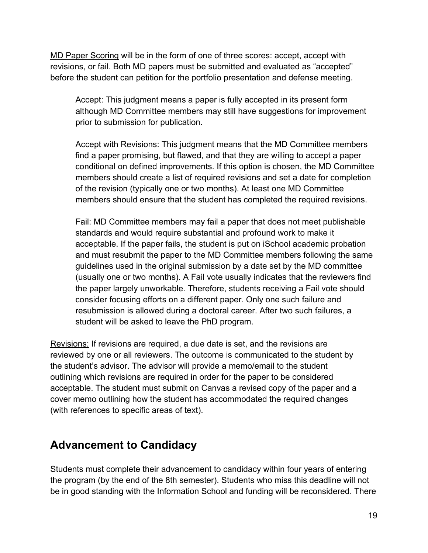MD Paper Scoring will be in the form of one of three scores: accept, accept with revisions, or fail. Both MD papers must be submitted and evaluated as "accepted" before the student can petition for the portfolio presentation and defense meeting.

Accept: This judgment means a paper is fully accepted in its present form although MD Committee members may still have suggestions for improvement prior to submission for publication.

Accept with Revisions: This judgment means that the MD Committee members find a paper promising, but flawed, and that they are willing to accept a paper conditional on defined improvements. If this option is chosen, the MD Committee members should create a list of required revisions and set a date for completion of the revision (typically one or two months). At least one MD Committee members should ensure that the student has completed the required revisions.

Fail: MD Committee members may fail a paper that does not meet publishable standards and would require substantial and profound work to make it acceptable. If the paper fails, the student is put on iSchool academic probation and must resubmit the paper to the MD Committee members following the same guidelines used in the original submission by a date set by the MD committee (usually one or two months). A Fail vote usually indicates that the reviewers find the paper largely unworkable. Therefore, students receiving a Fail vote should consider focusing efforts on a different paper. Only one such failure and resubmission is allowed during a doctoral career. After two such failures, a student will be asked to leave the PhD program.

Revisions: If revisions are required, a due date is set, and the revisions are reviewed by one or all reviewers. The outcome is communicated to the student by the student's advisor. The advisor will provide a memo/email to the student outlining which revisions are required in order for the paper to be considered acceptable. The student must submit on Canvas a revised copy of the paper and a cover memo outlining how the student has accommodated the required changes (with references to specific areas of text).

## **Advancement to Candidacy**

Students must complete their advancement to candidacy within four years of entering the program (by the end of the 8th semester). Students who miss this deadline will not be in good standing with the Information School and funding will be reconsidered. There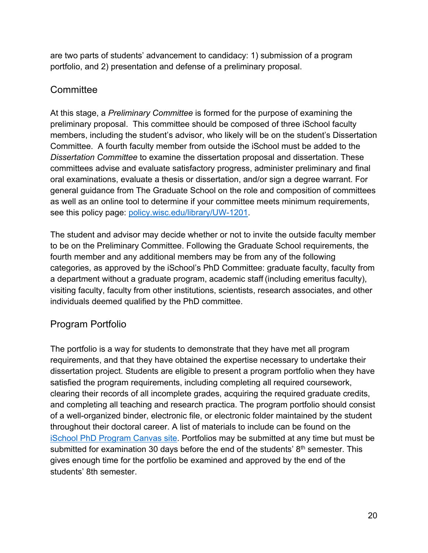are two parts of students' advancement to candidacy: 1) submission of a program portfolio, and 2) presentation and defense of a preliminary proposal.

#### **Committee**

At this stage, a *Preliminary Committee* is formed for the purpose of examining the preliminary proposal. This committee should be composed of three iSchool faculty members, including the student's advisor, who likely will be on the student's Dissertation Committee. A fourth faculty member from outside the iSchool must be added to the *Dissertation Committee* to examine the dissertation proposal and dissertation. These committees advise and evaluate satisfactory progress, administer preliminary and final oral examinations, evaluate a thesis or dissertation, and/or sign a degree warrant. For general guidance from The Graduate School on the role and composition of committees as well as an online tool to determine if your committee meets minimum requirements, see this policy page: policy.wisc.edu/library/UW-1201.

The student and advisor may decide whether or not to invite the outside faculty member to be on the Preliminary Committee. Following the Graduate School requirements, the fourth member and any additional members may be from any of the following categories, as approved by the iSchool's PhD Committee: graduate faculty, faculty from a department without a graduate program, academic staff (including emeritus faculty), visiting faculty, faculty from other institutions, scientists, research associates, and other individuals deemed qualified by the PhD committee.

### Program Portfolio

The portfolio is a way for students to demonstrate that they have met all program requirements, and that they have obtained the expertise necessary to undertake their dissertation project. Students are eligible to present a program portfolio when they have satisfied the program requirements, including completing all required coursework, clearing their records of all incomplete grades, acquiring the required graduate credits, and completing all teaching and research practica. The program portfolio should consist of a well-organized binder, electronic file, or electronic folder maintained by the student throughout their doctoral career. A list of materials to include can be found on the iSchool PhD Program Canvas site. Portfolios may be submitted at any time but must be submitted for examination 30 days before the end of the students' 8<sup>th</sup> semester. This gives enough time for the portfolio be examined and approved by the end of the students' 8th semester.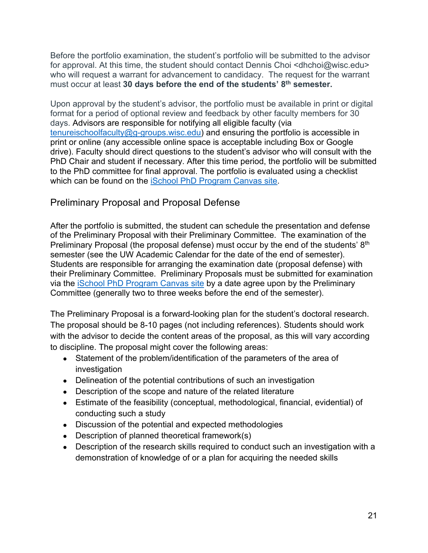Before the portfolio examination, the student's portfolio will be submitted to the advisor for approval. At this time, the student should contact Dennis Choi <dhchoi@wisc.edu> who will request a warrant for advancement to candidacy. The request for the warrant must occur at least **30 days before the end of the students' 8th semester.** 

Upon approval by the student's advisor, the portfolio must be available in print or digital format for a period of optional review and feedback by other faculty members for 30 days. Advisors are responsible for notifying all eligible faculty (via tenureischoolfaculty@g-groups.wisc.edu) and ensuring the portfolio is accessible in print or online (any accessible online space is acceptable including Box or Google drive). Faculty should direct questions to the student's advisor who will consult with the PhD Chair and student if necessary. After this time period, the portfolio will be submitted to the PhD committee for final approval. The portfolio is evaluated using a checklist which can be found on the iSchool PhD Program Canvas site.

#### Preliminary Proposal and Proposal Defense

After the portfolio is submitted, the student can schedule the presentation and defense of the Preliminary Proposal with their Preliminary Committee. The examination of the Preliminary Proposal (the proposal defense) must occur by the end of the students' 8<sup>th</sup> semester (see the UW Academic Calendar for the date of the end of semester). Students are responsible for arranging the examination date (proposal defense) with their Preliminary Committee. Preliminary Proposals must be submitted for examination via the iSchool PhD Program Canvas site by a date agree upon by the Preliminary Committee (generally two to three weeks before the end of the semester).

The Preliminary Proposal is a forward-looking plan for the student's doctoral research. The proposal should be 8-10 pages (not including references). Students should work with the advisor to decide the content areas of the proposal, as this will vary according to discipline. The proposal might cover the following areas:

- Statement of the problem/identification of the parameters of the area of investigation
- Delineation of the potential contributions of such an investigation
- Description of the scope and nature of the related literature
- Estimate of the feasibility (conceptual, methodological, financial, evidential) of conducting such a study
- Discussion of the potential and expected methodologies
- $\bullet$  Description of planned theoretical framework(s)
- Description of the research skills required to conduct such an investigation with a demonstration of knowledge of or a plan for acquiring the needed skills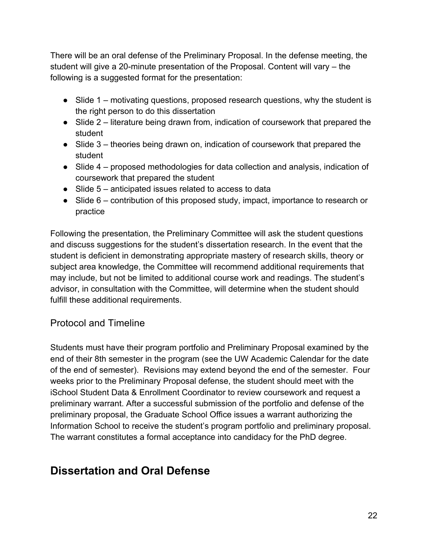There will be an oral defense of the Preliminary Proposal. In the defense meeting, the student will give a 20-minute presentation of the Proposal. Content will vary – the following is a suggested format for the presentation:

- Slide 1 motivating questions, proposed research questions, why the student is the right person to do this dissertation
- Slide 2 literature being drawn from, indication of coursework that prepared the student
- Slide 3 theories being drawn on, indication of coursework that prepared the student
- Slide 4 proposed methodologies for data collection and analysis, indication of coursework that prepared the student
- Slide 5 anticipated issues related to access to data
- Slide 6 contribution of this proposed study, impact, importance to research or practice

Following the presentation, the Preliminary Committee will ask the student questions and discuss suggestions for the student's dissertation research. In the event that the student is deficient in demonstrating appropriate mastery of research skills, theory or subject area knowledge, the Committee will recommend additional requirements that may include, but not be limited to additional course work and readings. The student's advisor, in consultation with the Committee, will determine when the student should fulfill these additional requirements.

#### Protocol and Timeline

Students must have their program portfolio and Preliminary Proposal examined by the end of their 8th semester in the program (see the UW Academic Calendar for the date of the end of semester). Revisions may extend beyond the end of the semester. Four weeks prior to the Preliminary Proposal defense, the student should meet with the iSchool Student Data & Enrollment Coordinator to review coursework and request a preliminary warrant. After a successful submission of the portfolio and defense of the preliminary proposal, the Graduate School Office issues a warrant authorizing the Information School to receive the student's program portfolio and preliminary proposal. The warrant constitutes a formal acceptance into candidacy for the PhD degree.

## **Dissertation and Oral Defense**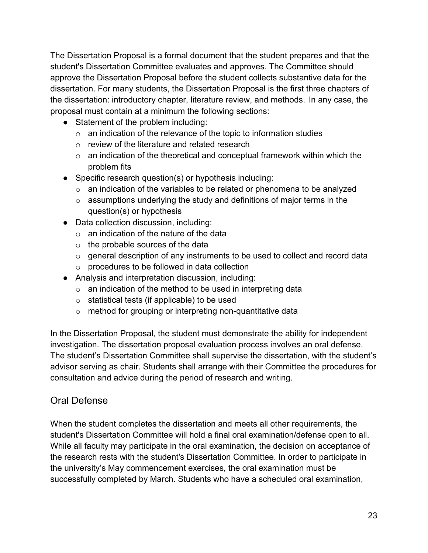The Dissertation Proposal is a formal document that the student prepares and that the student's Dissertation Committee evaluates and approves. The Committee should approve the Dissertation Proposal before the student collects substantive data for the dissertation. For many students, the Dissertation Proposal is the first three chapters of the dissertation: introductory chapter, literature review, and methods. In any case, the proposal must contain at a minimum the following sections:

- Statement of the problem including:
	- $\circ$  an indication of the relevance of the topic to information studies
	- o review of the literature and related research
	- $\circ$  an indication of the theoretical and conceptual framework within which the problem fits
- Specific research question(s) or hypothesis including:
	- $\circ$  an indication of the variables to be related or phenomena to be analyzed
	- o assumptions underlying the study and definitions of major terms in the question(s) or hypothesis
- Data collection discussion, including:
	- $\circ$  an indication of the nature of the data
	- $\circ$  the probable sources of the data
	- o general description of any instruments to be used to collect and record data
	- o procedures to be followed in data collection
- Analysis and interpretation discussion, including:
	- $\circ$  an indication of the method to be used in interpreting data
	- o statistical tests (if applicable) to be used
	- o method for grouping or interpreting non-quantitative data

In the Dissertation Proposal, the student must demonstrate the ability for independent investigation. The dissertation proposal evaluation process involves an oral defense. The student's Dissertation Committee shall supervise the dissertation, with the student's advisor serving as chair. Students shall arrange with their Committee the procedures for consultation and advice during the period of research and writing.

#### Oral Defense

When the student completes the dissertation and meets all other requirements, the student's Dissertation Committee will hold a final oral examination/defense open to all. While all faculty may participate in the oral examination, the decision on acceptance of the research rests with the student's Dissertation Committee. In order to participate in the university's May commencement exercises, the oral examination must be successfully completed by March. Students who have a scheduled oral examination,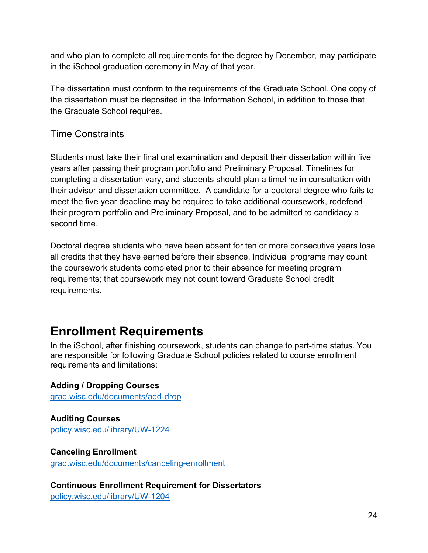and who plan to complete all requirements for the degree by December, may participate in the iSchool graduation ceremony in May of that year.

The dissertation must conform to the requirements of the Graduate School. One copy of the dissertation must be deposited in the Information School, in addition to those that the Graduate School requires.

#### Time Constraints

Students must take their final oral examination and deposit their dissertation within five years after passing their program portfolio and Preliminary Proposal. Timelines for completing a dissertation vary, and students should plan a timeline in consultation with their advisor and dissertation committee. A candidate for a doctoral degree who fails to meet the five year deadline may be required to take additional coursework, redefend their program portfolio and Preliminary Proposal, and to be admitted to candidacy a second time.

Doctoral degree students who have been absent for ten or more consecutive years lose all credits that they have earned before their absence. Individual programs may count the coursework students completed prior to their absence for meeting program requirements; that coursework may not count toward Graduate School credit requirements.

## **Enrollment Requirements**

In the iSchool, after finishing coursework, students can change to part-time status. You are responsible for following Graduate School policies related to course enrollment requirements and limitations:

**Adding / Dropping Courses** grad.wisc.edu/documents/add-drop

**Auditing Courses** policy.wisc.edu/library/UW-1224

#### **Canceling Enrollment**

grad.wisc.edu/documents/canceling-enrollment

**Continuous Enrollment Requirement for Dissertators** policy.wisc.edu/library/UW-1204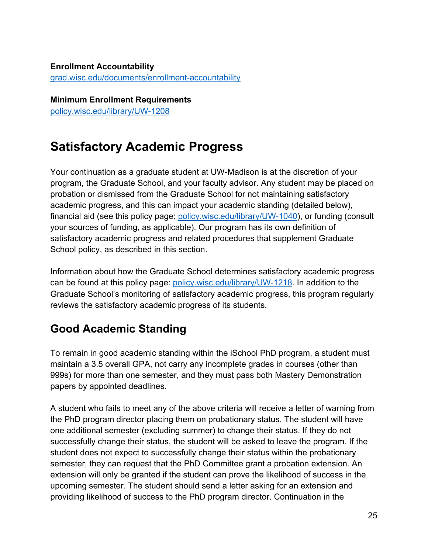#### **Enrollment Accountability** grad.wisc.edu/documents/enrollment-accountability

**Minimum Enrollment Requirements** policy.wisc.edu/library/UW-1208

## **Satisfactory Academic Progress**

Your continuation as a graduate student at UW-Madison is at the discretion of your program, the Graduate School, and your faculty advisor. Any student may be placed on probation or dismissed from the Graduate School for not maintaining satisfactory academic progress, and this can impact your academic standing (detailed below), financial aid (see this policy page: policy.wisc.edu/library/UW-1040), or funding (consult your sources of funding, as applicable). Our program has its own definition of satisfactory academic progress and related procedures that supplement Graduate School policy, as described in this section.

Information about how the Graduate School determines satisfactory academic progress can be found at this policy page: policy.wisc.edu/library/UW-1218. In addition to the Graduate School's monitoring of satisfactory academic progress, this program regularly reviews the satisfactory academic progress of its students.

## **Good Academic Standing**

To remain in good academic standing within the iSchool PhD program, a student must maintain a 3.5 overall GPA, not carry any incomplete grades in courses (other than 999s) for more than one semester, and they must pass both Mastery Demonstration papers by appointed deadlines.

A student who fails to meet any of the above criteria will receive a letter of warning from the PhD program director placing them on probationary status. The student will have one additional semester (excluding summer) to change their status. If they do not successfully change their status, the student will be asked to leave the program. If the student does not expect to successfully change their status within the probationary semester, they can request that the PhD Committee grant a probation extension. An extension will only be granted if the student can prove the likelihood of success in the upcoming semester. The student should send a letter asking for an extension and providing likelihood of success to the PhD program director. Continuation in the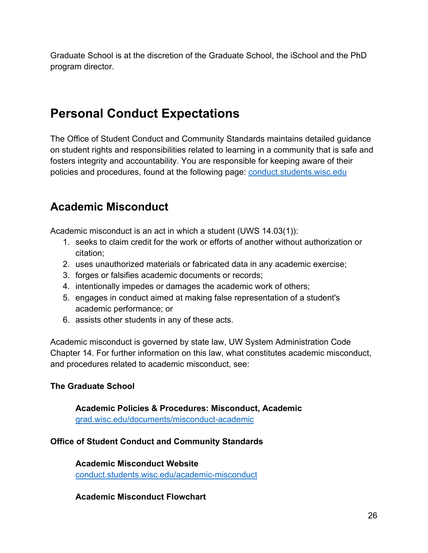Graduate School is at the discretion of the Graduate School, the iSchool and the PhD program director.

## **Personal Conduct Expectations**

The Office of Student Conduct and Community Standards maintains detailed guidance on student rights and responsibilities related to learning in a community that is safe and fosters integrity and accountability. You are responsible for keeping aware of their policies and procedures, found at the following page: conduct.students.wisc.edu

## **Academic Misconduct**

Academic misconduct is an act in which a student (UWS 14.03(1)):

- 1. seeks to claim credit for the work or efforts of another without authorization or citation;
- 2. uses unauthorized materials or fabricated data in any academic exercise;
- 3. forges or falsifies academic documents or records;
- 4. intentionally impedes or damages the academic work of others;
- 5. engages in conduct aimed at making false representation of a student's academic performance; or
- 6. assists other students in any of these acts.

Academic misconduct is governed by state law, UW System Administration Code Chapter 14. For further information on this law, what constitutes academic misconduct, and procedures related to academic misconduct, see:

#### **The Graduate School**

**Academic Policies & Procedures: Misconduct, Academic** grad.wisc.edu/documents/misconduct-academic

#### **Office of Student Conduct and Community Standards**

**Academic Misconduct Website** conduct.students.wisc.edu/academic-misconduct

#### **Academic Misconduct Flowchart**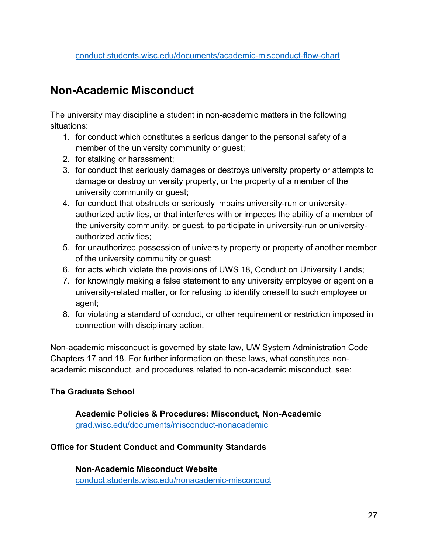## **Non-Academic Misconduct**

The university may discipline a student in non-academic matters in the following situations:

- 1. for conduct which constitutes a serious danger to the personal safety of a member of the university community or guest;
- 2. for stalking or harassment;
- 3. for conduct that seriously damages or destroys university property or attempts to damage or destroy university property, or the property of a member of the university community or guest;
- 4. for conduct that obstructs or seriously impairs university-run or universityauthorized activities, or that interferes with or impedes the ability of a member of the university community, or guest, to participate in university-run or universityauthorized activities;
- 5. for unauthorized possession of university property or property of another member of the university community or guest;
- 6. for acts which violate the provisions of UWS 18, Conduct on University Lands;
- 7. for knowingly making a false statement to any university employee or agent on a university-related matter, or for refusing to identify oneself to such employee or agent;
- 8. for violating a standard of conduct, or other requirement or restriction imposed in connection with disciplinary action.

Non-academic misconduct is governed by state law, UW System Administration Code Chapters 17 and 18. For further information on these laws, what constitutes nonacademic misconduct, and procedures related to non-academic misconduct, see:

#### **The Graduate School**

**Academic Policies & Procedures: Misconduct, Non-Academic** grad.wisc.edu/documents/misconduct-nonacademic

#### **Office for Student Conduct and Community Standards**

**Non-Academic Misconduct Website** conduct.students.wisc.edu/nonacademic-misconduct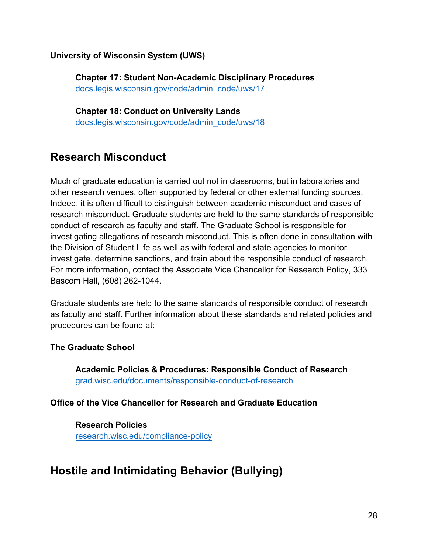**University of Wisconsin System (UWS)**

**Chapter 17: Student Non-Academic Disciplinary Procedures** docs.legis.wisconsin.gov/code/admin\_code/uws/17

**Chapter 18: Conduct on University Lands**  docs.legis.wisconsin.gov/code/admin\_code/uws/18

## **Research Misconduct**

Much of graduate education is carried out not in classrooms, but in laboratories and other research venues, often supported by federal or other external funding sources. Indeed, it is often difficult to distinguish between academic misconduct and cases of research misconduct. Graduate students are held to the same standards of responsible conduct of research as faculty and staff. The Graduate School is responsible for investigating allegations of research misconduct. This is often done in consultation with the Division of Student Life as well as with federal and state agencies to monitor, investigate, determine sanctions, and train about the responsible conduct of research. For more information, contact the Associate Vice Chancellor for Research Policy, 333 Bascom Hall, (608) 262-1044.

Graduate students are held to the same standards of responsible conduct of research as faculty and staff. Further information about these standards and related policies and procedures can be found at:

#### **The Graduate School**

**Academic Policies & Procedures: Responsible Conduct of Research** grad.wisc.edu/documents/responsible-conduct-of-research

#### **Office of the Vice Chancellor for Research and Graduate Education**

**Research Policies** research.wisc.edu/compliance-policy

## **Hostile and Intimidating Behavior (Bullying)**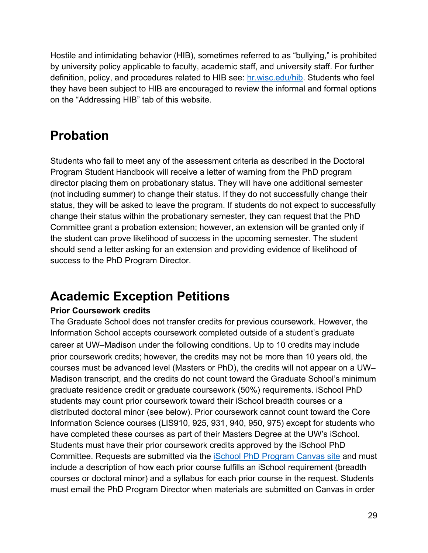Hostile and intimidating behavior (HIB), sometimes referred to as "bullying," is prohibited by university policy applicable to faculty, academic staff, and university staff. For further definition, policy, and procedures related to HIB see: hr.wisc.edu/hib. Students who feel they have been subject to HIB are encouraged to review the informal and formal options on the "Addressing HIB" tab of this website.

## **Probation**

Students who fail to meet any of the assessment criteria as described in the Doctoral Program Student Handbook will receive a letter of warning from the PhD program director placing them on probationary status. They will have one additional semester (not including summer) to change their status. If they do not successfully change their status, they will be asked to leave the program. If students do not expect to successfully change their status within the probationary semester, they can request that the PhD Committee grant a probation extension; however, an extension will be granted only if the student can prove likelihood of success in the upcoming semester. The student should send a letter asking for an extension and providing evidence of likelihood of success to the PhD Program Director.

## **Academic Exception Petitions**

#### **Prior Coursework credits**

The Graduate School does not transfer credits for previous coursework. However, the Information School accepts coursework completed outside of a student's graduate career at UW–Madison under the following conditions. Up to 10 credits may include prior coursework credits; however, the credits may not be more than 10 years old, the courses must be advanced level (Masters or PhD), the credits will not appear on a UW– Madison transcript, and the credits do not count toward the Graduate School's minimum graduate residence credit or graduate coursework (50%) requirements. iSchool PhD students may count prior coursework toward their iSchool breadth courses or a distributed doctoral minor (see below). Prior coursework cannot count toward the Core Information Science courses (LIS910, 925, 931, 940, 950, 975) except for students who have completed these courses as part of their Masters Degree at the UW's iSchool. Students must have their prior coursework credits approved by the iSchool PhD Committee. Requests are submitted via the **School PhD Program Canvas site and must** include a description of how each prior course fulfills an iSchool requirement (breadth courses or doctoral minor) and a syllabus for each prior course in the request. Students must email the PhD Program Director when materials are submitted on Canvas in order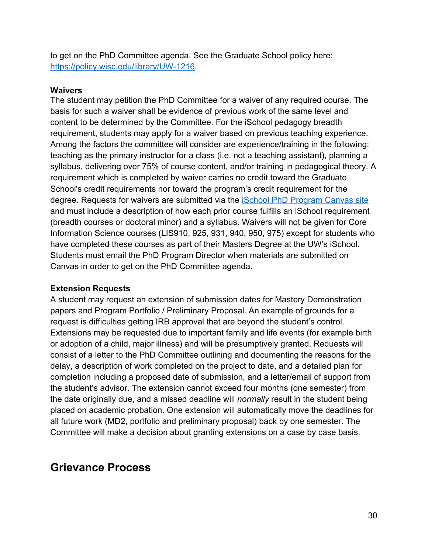to get on the PhD Committee agenda. See the Graduate School policy here: https://policy.wisc.edu/library/UW-1216.

#### **Waivers**

The student may petition the PhD Committee for a waiver of any required course. The basis for such a waiver shall be evidence of previous work of the same level and content to be determined by the Committee. For the iSchool pedagogy breadth requirement, students may apply for a waiver based on previous teaching experience. Among the factors the committee will consider are experience/training in the following: teaching as the primary instructor for a class (i.e. not a teaching assistant), planning a syllabus, delivering over 75% of course content, and/or training in pedagogical theory. A requirement which is completed by waiver carries no credit toward the Graduate School's credit requirements nor toward the program's credit requirement for the degree. Requests for waivers are submitted via the *iSchool PhD Program Canvas site* and must include a description of how each prior course fulfills an iSchool requirement (breadth courses or doctoral minor) and a syllabus. Waivers will not be given for Core Information Science courses (LIS910, 925, 931, 940, 950, 975) except for students who have completed these courses as part of their Masters Degree at the UW's iSchool. Students must email the PhD Program Director when materials are submitted on Canvas in order to get on the PhD Committee agenda.

#### **Extension Requests**

A student may request an extension of submission dates for Mastery Demonstration papers and Program Portfolio / Preliminary Proposal. An example of grounds for a request is difficulties getting IRB approval that are beyond the student's control. Extensions may be requested due to important family and life events (for example birth or adoption of a child, major illness) and will be presumptively granted. Requests will consist of a letter to the PhD Committee outlining and documenting the reasons for the delay, a description of work completed on the project to date, and a detailed plan for completion including a proposed date of submission, and a letter/email of support from the student's advisor. The extension cannot exceed four months (one semester) from the date originally due, and a missed deadline will *normally* result in the student being placed on academic probation. One extension will automatically move the deadlines for all future work (MD2, portfolio and preliminary proposal) back by one semester. The Committee will make a decision about granting extensions on a case by case basis.

### **Grievance Process**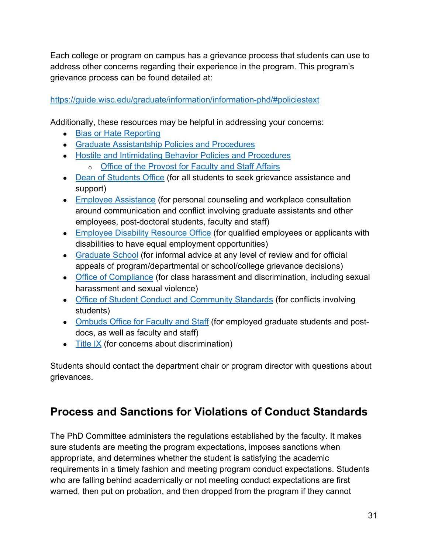Each college or program on campus has a grievance process that students can use to address other concerns regarding their experience in the program. This program's grievance process can be found detailed at:

#### https://guide.wisc.edu/graduate/information/information-phd/#policiestext

Additionally, these resources may be helpful in addressing your concerns:

- Bias or Hate Reporting
- Graduate Assistantship Policies and Procedures
- Hostile and Intimidating Behavior Policies and Procedures
	- o Office of the Provost for Faculty and Staff Affairs
- Dean of Students Office (for all students to seek grievance assistance and support)
- Employee Assistance (for personal counseling and workplace consultation around communication and conflict involving graduate assistants and other employees, post-doctoral students, faculty and staff)
- Employee Disability Resource Office (for qualified employees or applicants with disabilities to have equal employment opportunities)
- Graduate School (for informal advice at any level of review and for official appeals of program/departmental or school/college grievance decisions)
- Office of Compliance (for class harassment and discrimination, including sexual harassment and sexual violence)
- Office of Student Conduct and Community Standards (for conflicts involving students)
- Ombuds Office for Faculty and Staff (for employed graduate students and postdocs, as well as faculty and staff)
- $\bullet$  Title IX (for concerns about discrimination)

Students should contact the department chair or program director with questions about grievances.

## **Process and Sanctions for Violations of Conduct Standards**

The PhD Committee administers the regulations established by the faculty. It makes sure students are meeting the program expectations, imposes sanctions when appropriate, and determines whether the student is satisfying the academic requirements in a timely fashion and meeting program conduct expectations. Students who are falling behind academically or not meeting conduct expectations are first warned, then put on probation, and then dropped from the program if they cannot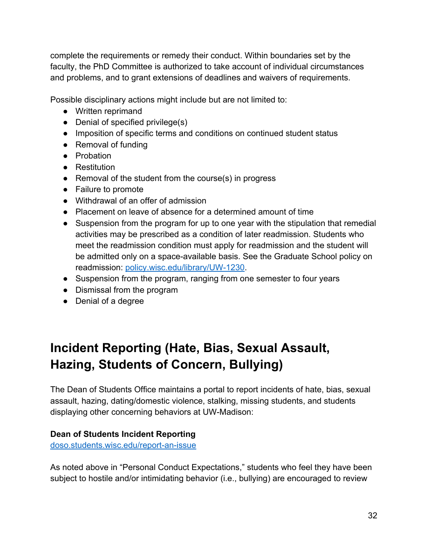complete the requirements or remedy their conduct. Within boundaries set by the faculty, the PhD Committee is authorized to take account of individual circumstances and problems, and to grant extensions of deadlines and waivers of requirements.

Possible disciplinary actions might include but are not limited to:

- Written reprimand
- $\bullet$  Denial of specified privilege(s)
- Imposition of specific terms and conditions on continued student status
- Removal of funding
- Probation
- Restitution
- Removal of the student from the course(s) in progress
- Failure to promote
- Withdrawal of an offer of admission
- Placement on leave of absence for a determined amount of time
- Suspension from the program for up to one year with the stipulation that remedial activities may be prescribed as a condition of later readmission. Students who meet the readmission condition must apply for readmission and the student will be admitted only on a space-available basis. See the Graduate School policy on readmission: policy.wisc.edu/library/UW-1230.
- Suspension from the program, ranging from one semester to four years
- Dismissal from the program
- Denial of a degree

## **Incident Reporting (Hate, Bias, Sexual Assault, Hazing, Students of Concern, Bullying)**

The Dean of Students Office maintains a portal to report incidents of hate, bias, sexual assault, hazing, dating/domestic violence, stalking, missing students, and students displaying other concerning behaviors at UW-Madison:

#### **Dean of Students Incident Reporting**

doso.students.wisc.edu/report-an-issue

As noted above in "Personal Conduct Expectations," students who feel they have been subject to hostile and/or intimidating behavior (i.e., bullying) are encouraged to review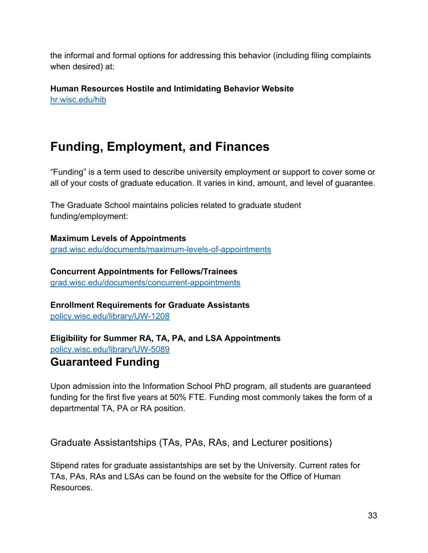the informal and formal options for addressing this behavior (including filing complaints when desired) at:

**Human Resources Hostile and Intimidating Behavior Website** hr.wisc.edu/hib

## **Funding, Employment, and Finances**

"Funding" is a term used to describe university employment or support to cover some or all of your costs of graduate education. It varies in kind, amount, and level of guarantee.

The Graduate School maintains policies related to graduate student funding/employment:

**Maximum Levels of Appointments** grad.wisc.edu/documents/maximum-levels-of-appointments

**Concurrent Appointments for Fellows/Trainees** grad.wisc.edu/documents/concurrent-appointments

**Enrollment Requirements for Graduate Assistants** policy.wisc.edu/library/UW-1208

**Eligibility for Summer RA, TA, PA, and LSA Appointments** policy.wisc.edu/library/UW-5089

## **Guaranteed Funding**

Upon admission into the Information School PhD program, all students are guaranteed funding for the first five years at 50% FTE. Funding most commonly takes the form of a departmental TA, PA or RA position.

Graduate Assistantships (TAs, PAs, RAs, and Lecturer positions)

Stipend rates for graduate assistantships are set by the University. Current rates for TAs, PAs, RAs and LSAs can be found on the website for the Office of Human Resources.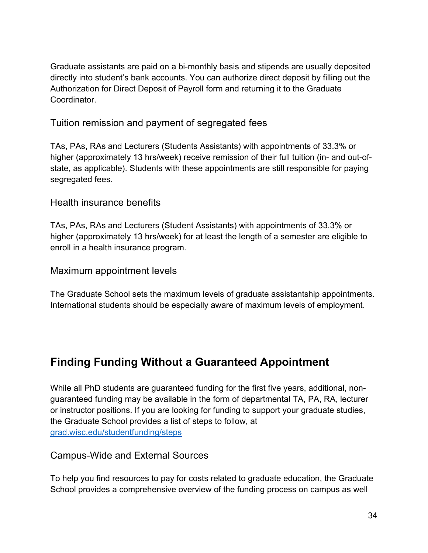Graduate assistants are paid on a bi-monthly basis and stipends are usually deposited directly into student's bank accounts. You can authorize direct deposit by filling out the Authorization for Direct Deposit of Payroll form and returning it to the Graduate Coordinator.

#### Tuition remission and payment of segregated fees

TAs, PAs, RAs and Lecturers (Students Assistants) with appointments of 33.3% or higher (approximately 13 hrs/week) receive remission of their full tuition (in- and out-ofstate, as applicable). Students with these appointments are still responsible for paying segregated fees.

#### Health insurance benefits

TAs, PAs, RAs and Lecturers (Student Assistants) with appointments of 33.3% or higher (approximately 13 hrs/week) for at least the length of a semester are eligible to enroll in a health insurance program.

#### Maximum appointment levels

The Graduate School sets the maximum levels of graduate assistantship appointments. International students should be especially aware of maximum levels of employment.

## **Finding Funding Without a Guaranteed Appointment**

While all PhD students are guaranteed funding for the first five years, additional, nonguaranteed funding may be available in the form of departmental TA, PA, RA, lecturer or instructor positions. If you are looking for funding to support your graduate studies, the Graduate School provides a list of steps to follow, at grad.wisc.edu/studentfunding/steps

#### Campus-Wide and External Sources

To help you find resources to pay for costs related to graduate education, the Graduate School provides a comprehensive overview of the funding process on campus as well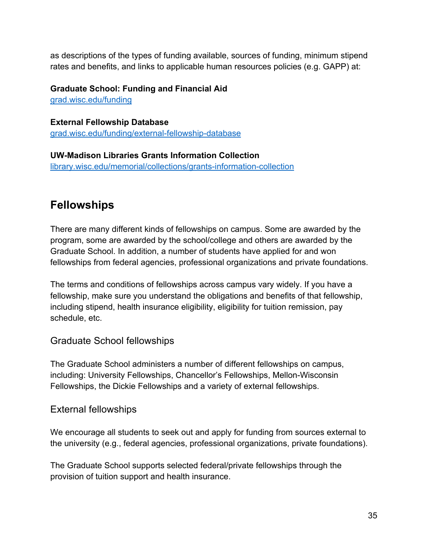as descriptions of the types of funding available, sources of funding, minimum stipend rates and benefits, and links to applicable human resources policies (e.g. GAPP) at:

**Graduate School: Funding and Financial Aid** grad.wisc.edu/funding

**External Fellowship Database** grad.wisc.edu/funding/external-fellowship-database

**UW-Madison Libraries Grants Information Collection** library.wisc.edu/memorial/collections/grants-information-collection

## **Fellowships**

There are many different kinds of fellowships on campus. Some are awarded by the program, some are awarded by the school/college and others are awarded by the Graduate School. In addition, a number of students have applied for and won fellowships from federal agencies, professional organizations and private foundations.

The terms and conditions of fellowships across campus vary widely. If you have a fellowship, make sure you understand the obligations and benefits of that fellowship, including stipend, health insurance eligibility, eligibility for tuition remission, pay schedule, etc.

#### Graduate School fellowships

The Graduate School administers a number of different fellowships on campus, including: University Fellowships, Chancellor's Fellowships, Mellon-Wisconsin Fellowships, the Dickie Fellowships and a variety of external fellowships.

#### External fellowships

We encourage all students to seek out and apply for funding from sources external to the university (e.g., federal agencies, professional organizations, private foundations).

The Graduate School supports selected federal/private fellowships through the provision of tuition support and health insurance.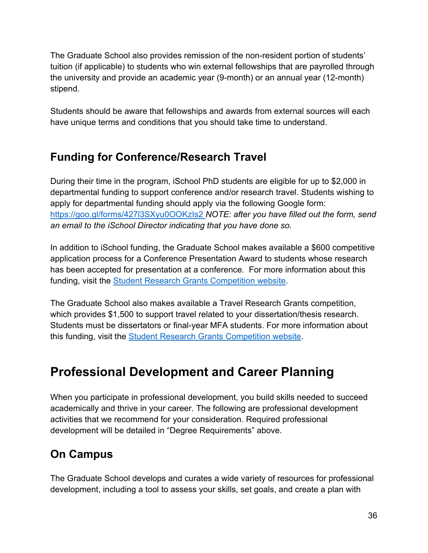The Graduate School also provides remission of the non-resident portion of students' tuition (if applicable) to students who win external fellowships that are payrolled through the university and provide an academic year (9-month) or an annual year (12-month) stipend.

Students should be aware that fellowships and awards from external sources will each have unique terms and conditions that you should take time to understand.

## **Funding for Conference/Research Travel**

During their time in the program, iSchool PhD students are eligible for up to \$2,000 in departmental funding to support conference and/or research travel. Students wishing to apply for departmental funding should apply via the following Google form: https://goo.gl/forms/427l3SXyu0OOKzIs2 *NOTE: after you have filled out the form, send an email to the iSchool Director indicating that you have done so.*

In addition to iSchool funding, the Graduate School makes available a \$600 competitive application process for a Conference Presentation Award to students whose research has been accepted for presentation at a conference. For more information about this funding, visit the Student Research Grants Competition website.

The Graduate School also makes available a Travel Research Grants competition, which provides \$1,500 to support travel related to your dissertation/thesis research. Students must be dissertators or final-year MFA students. For more information about this funding, visit the Student Research Grants Competition website.

## **Professional Development and Career Planning**

When you participate in professional development, you build skills needed to succeed academically and thrive in your career. The following are professional development activities that we recommend for your consideration. Required professional development will be detailed in "Degree Requirements" above.

## **On Campus**

The Graduate School develops and curates a wide variety of resources for professional development, including a tool to assess your skills, set goals, and create a plan with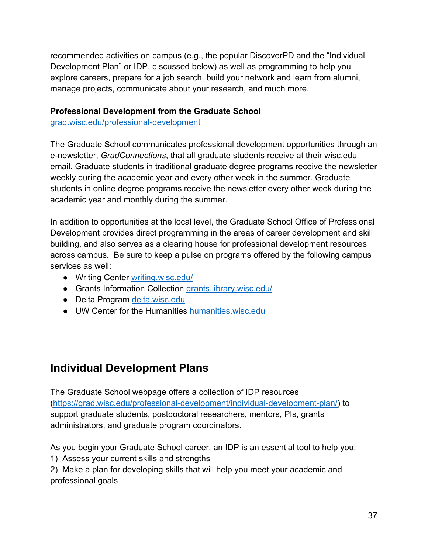recommended activities on campus (e.g., the popular DiscoverPD and the "Individual Development Plan" or IDP, discussed below) as well as programming to help you explore careers, prepare for a job search, build your network and learn from alumni, manage projects, communicate about your research, and much more.

#### **Professional Development from the Graduate School**

grad.wisc.edu/professional-development

The Graduate School communicates professional development opportunities through an e-newsletter, *GradConnections*, that all graduate students receive at their wisc.edu email. Graduate students in traditional graduate degree programs receive the newsletter weekly during the academic year and every other week in the summer. Graduate students in online degree programs receive the newsletter every other week during the academic year and monthly during the summer.

In addition to opportunities at the local level, the Graduate School Office of Professional Development provides direct programming in the areas of career development and skill building, and also serves as a clearing house for professional development resources across campus. Be sure to keep a pulse on programs offered by the following campus services as well:

- Writing Center writing.wisc.edu/
- Grants Information Collection grants.library.wisc.edu/
- Delta Program delta.wisc.edu
- UW Center for the Humanities humanities.wisc.edu

## **Individual Development Plans**

The Graduate School webpage offers a collection of IDP resources (https://grad.wisc.edu/professional-development/individual-development-plan/) to support graduate students, postdoctoral researchers, mentors, PIs, grants administrators, and graduate program coordinators.

As you begin your Graduate School career, an IDP is an essential tool to help you:

1) Assess your current skills and strengths

2) Make a plan for developing skills that will help you meet your academic and professional goals